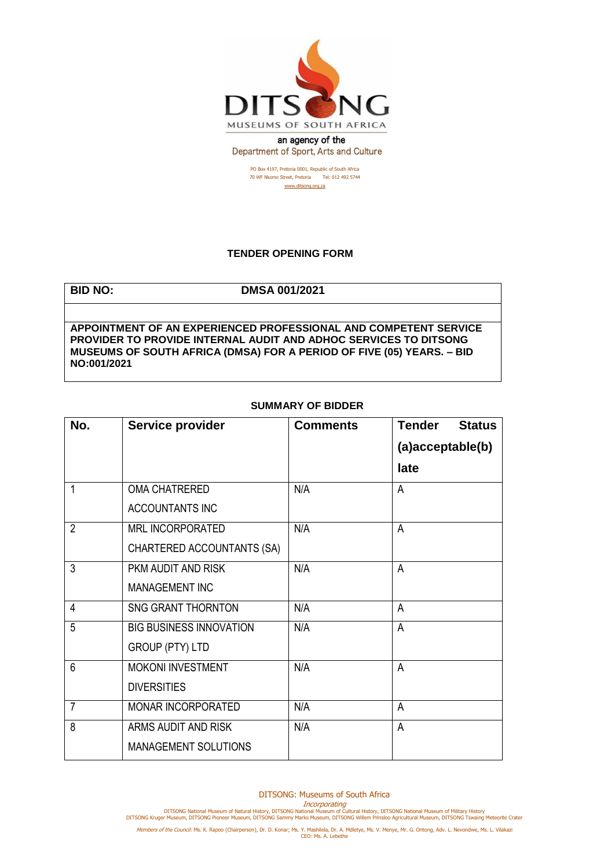

Department of Sport, Arts and Culture

PO Box 4197, Pretoria 0001, Republic of South Africa 70 WF Nkomo Street, Pretoria Tel: 012 492 5744 [www.ditsong.org.za](http://www.ditsong.org.za/)

## **TENDER OPENING FORM**

**BID NO: DMSA 001/2021**

**APPOINTMENT OF AN EXPERIENCED PROFESSIONAL AND COMPETENT SERVICE PROVIDER TO PROVIDE INTERNAL AUDIT AND ADHOC SERVICES TO DITSONG MUSEUMS OF SOUTH AFRICA (DMSA) FOR A PERIOD OF FIVE (05) YEARS. – BID NO:001/2021**

## **SUMMARY OF BIDDER**

| No.            | Service provider               | <b>Comments</b> | <b>Tender</b><br><b>Status</b> |
|----------------|--------------------------------|-----------------|--------------------------------|
|                |                                |                 | (a)acceptable(b)               |
|                |                                |                 | late                           |
| 1              | <b>OMA CHATRERED</b>           | N/A             | A                              |
|                | <b>ACCOUNTANTS INC</b>         |                 |                                |
| $\overline{2}$ | <b>MRL INCORPORATED</b>        | N/A             | A                              |
|                | CHARTERED ACCOUNTANTS (SA)     |                 |                                |
| 3              | PKM AUDIT AND RISK             | N/A             | A                              |
|                | MANAGEMENT INC                 |                 |                                |
| 4              | <b>SNG GRANT THORNTON</b>      | N/A             | A                              |
| 5              | <b>BIG BUSINESS INNOVATION</b> | N/A             | $\overline{A}$                 |
|                | <b>GROUP (PTY) LTD</b>         |                 |                                |
| $6\phantom{1}$ | MOKONI INVESTMENT              | N/A             | A                              |
|                | <b>DIVERSITIES</b>             |                 |                                |
| $\overline{7}$ | MONAR INCORPORATED             | N/A             | A                              |
| 8              | ARMS AUDIT AND RISK            | N/A             | A                              |
|                | MANAGEMENT SOLUTIONS           |                 |                                |

Incorporating<br>DITSONG National Museum of Natural History, DITSONG Natural Museum of Military History<br>DITSONG Kruger Museum, DITSONG Pioneer Museum, DITSONG Sammy Marks Museum, DITSONG Willem Prinsloo Agricultural Museum, D